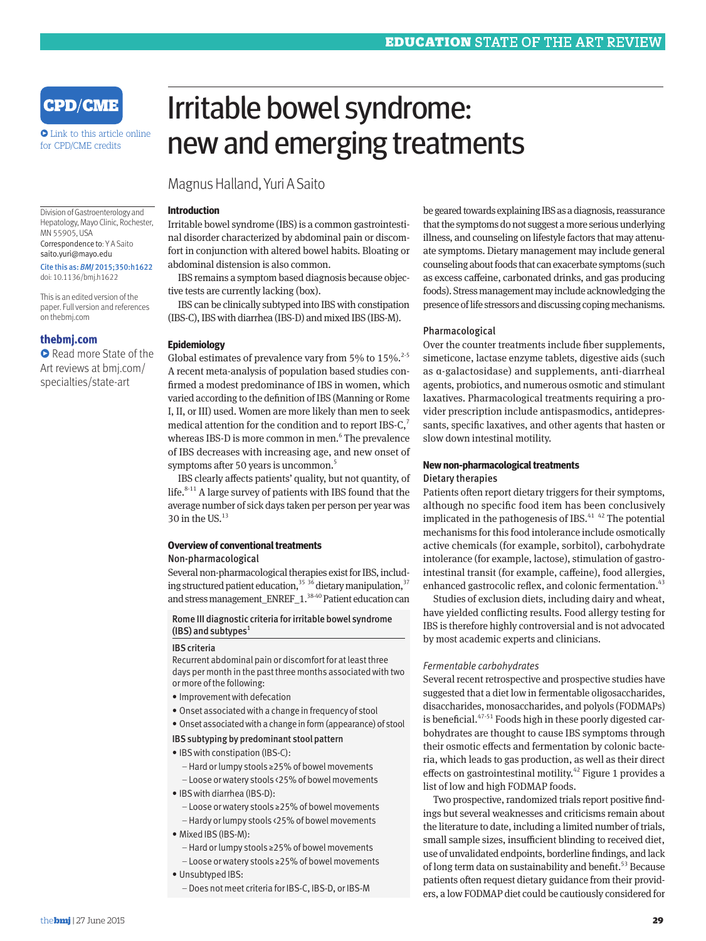

**•** Link to this article online for CPD/CME credits

Division of Gastroenterology and Hepatology, Mayo Clinic, Rochester,

Correspondence to: Y A Saito saito.yuri@mayo.edu Cite this as: *BMJ* 2015;350:h1622 doi: 10.1136/bmj.h1622 This is an edited version of the paper. Full version and references

MN 55905, USA

on thebmj.com

**thebmj.com** 

**•** Read more State of the Art reviews at bmj.com/ specialties/state-art

# Irritable bowel syndrome: new and emerging treatments

Magnus Halland, Yuri A Saito

#### **Introduction**

Irritable bowel syndrome (IBS) is a common gastrointestinal disorder characterized by abdominal pain or discomfort in conjunction with altered bowel habits. Bloating or abdominal distension is also common.

IBS remains a symptom based diagnosis because objective tests are currently lacking (box).

IBS can be clinically subtyped into IBS with constipation (IBS-C), IBS with diarrhea (IBS-D) and mixed IBS (IBS-M).

## **Epidemiology**

Global estimates of prevalence vary from 5% to  $15\%$ .<sup>2-5</sup> A recent meta-analysis of population based studies confirmed a modest predominance of IBS in women, which varied according to the definition of IBS (Manning or Rome I, II, or III) used. Women are more likely than men to seek medical attention for the condition and to report IBS-C, $^7$ whereas IBS-D is more common in men.<sup>6</sup> The prevalence of IBS decreases with increasing age, and new onset of symptoms after 50 years is uncommon.<sup>5</sup>

IBS clearly affects patients' quality, but not quantity, of life. $8-11$  A large survey of patients with IBS found that the average number of sick days taken per person per year was 30 in the US. $^{13}$ 

## **Overview of conventional treatments**

## Non-pharmacological

Several non-pharmacological therapies exist for IBS, including structured patient education,  $35\frac{36}{10}$  dietary manipulation,  $37$ and stress management ENREF  $1.^{38\cdot 40}$  Patient education can

Rome III diagnostic criteria for irritable bowel syndrome (IBS) and subtypes $<sup>1</sup>$ </sup>

#### IBS criteria

Recurrent abdominal pain or discomfort for at least three days per month in the past three months associated with two or more of the following:

- Improvement with defecation
- Onset associated with a change in frequency of stool
- Onset associated with a change in form (appearance) of stool

#### IBS subtyping by predominant stool pattern

- IBS with constipation (IBS-C):
	- –Hard or lumpy stools ≥25% of bowel movements
	- Loose or watery stools <25% of bowel movements
- IBS with diarrhea (IBS-D):
	- Loose or watery stools ≥25% of bowel movements
	- –Hardy or lumpy stools <25% of bowel movements
- Mixed IBS (IBS-M):
	- –Hard or lumpy stools ≥25% of bowel movements
- Loose or watery stools ≥25% of bowel movements
- Unsubtyped IBS:
	- –Does not meet criteria for IBS-C, IBS-D, or IBS-M

be geared towards explaining IBS as a diagnosis, reassurance that the symptoms do not suggest a more serious underlying illness, and counseling on lifestyle factors that may attenuate symptoms. Dietary management may include general counseling about foods that can exacerbate symptoms (such as excess caffeine, carbonated drinks, and gas producing foods). Stress management may include acknowledging the presence of life stressors and discussing coping mechanisms.

## Pharmacological

Over the counter treatments include fiber supplements, simeticone, lactase enzyme tablets, digestive aids (such as α-galactosidase) and supplements, anti-diarrheal agents, probiotics, and numerous osmotic and stimulant laxatives. Pharmacological treatments requiring a provider prescription include antispasmodics, antidepressants, specific laxatives, and other agents that hasten or slow down intestinal motility.

## **New non-pharmacological treatments** Dietary therapies

Patients often report dietary triggers for their symptoms, although no specific food item has been conclusively implicated in the pathogenesis of IBS. $41\,$   $42$  The potential mechanisms for this food intolerance include osmotically active chemicals (for example, sorbitol), carbohydrate intolerance (for example, lactose), stimulation of gastrointestinal transit (for example, caffeine), food allergies, enhanced gastrocolic reflex, and colonic fermentation.<sup>43</sup>

Studies of exclusion diets, including dairy and wheat, have yielded conflicting results. Food allergy testing for IBS is therefore highly controversial and is not advocated by most academic experts and clinicians.

#### *Fermentable carbohydrates*

Several recent retrospective and prospective studies have suggested that a diet low in fermentable oligosaccharides, disaccharides, monosaccharides, and polyols (FODMAPs) is beneficial.<sup>47-51</sup> Foods high in these poorly digested carbohydrates are thought to cause IBS symptoms through their osmotic effects and fermentation by colonic bacteria, which leads to gas production, as well as their direct effects on gastrointestinal motility.<sup>42</sup> Figure 1 provides a list of low and high FODMAP foods.

Two prospective, randomized trials report positive findings but several weaknesses and criticisms remain about the literature to date, including a limited number of trials, small sample sizes, insufficient blinding to received diet, use of unvalidated endpoints, borderline findings, and lack of long term data on sustainability and benefit.<sup>53</sup> Because patients often request dietary guidance from their providers, a low FODMAP diet could be cautiously considered for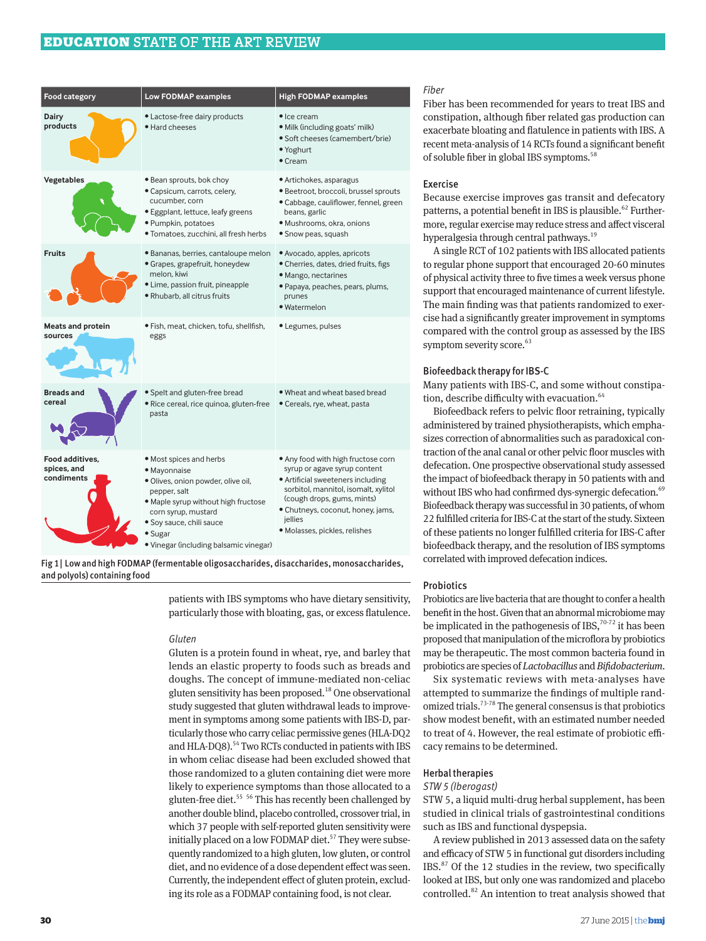# EDUCATION STATE OF THE ART REVIEW

| Food category                                | Low FODMAP examples                                                                                                                                                                                                                          | <b>High FODMAP examples</b>                                                                                                                                                                                                                                    |
|----------------------------------------------|----------------------------------------------------------------------------------------------------------------------------------------------------------------------------------------------------------------------------------------------|----------------------------------------------------------------------------------------------------------------------------------------------------------------------------------------------------------------------------------------------------------------|
| <b>Dairy</b><br>products                     | • Lactose-free dairy products<br>· Hard cheeses                                                                                                                                                                                              | $\bullet$ Ice cream<br>· Milk (including goats' milk)<br>• Soft cheeses (camembert/brie)<br>· Yoghurt<br>$\bullet$ Cream                                                                                                                                       |
| Vegetables                                   | • Bean sprouts, bok choy<br>· Capsicum, carrots, celery,<br>cucumber, corn<br>• Eggplant, lettuce, leafy greens<br>· Pumpkin, potatoes<br>· Tomatoes, zucchini, all fresh herbs                                                              | • Artichokes, asparagus<br>· Beetroot, broccoli, brussel sprouts<br>· Cabbage, cauliflower, fennel, green<br>beans, garlic<br>· Mushrooms, okra, onions<br>• Snow peas, squash                                                                                 |
| <b>Fruits</b>                                | · Bananas, berries, cantaloupe melon<br>• Grapes, grapefruit, honeydew<br>melon, kiwi<br>· Lime, passion fruit, pineapple<br>· Rhubarb, all citrus fruits                                                                                    | · Avocado, apples, apricots<br>• Cherries, dates, dried fruits, figs<br>· Mango, nectarines<br>· Papaya, peaches, pears, plums,<br>prunes<br>· Watermelon                                                                                                      |
| <b>Meats and protein</b><br>sources          | · Fish, meat, chicken, tofu, shellfish,<br>eggs                                                                                                                                                                                              | • Legumes, pulses                                                                                                                                                                                                                                              |
| <b>Breads and</b><br>cereal                  | Spelt and gluten-free bread<br>· Rice cereal, rice quinoa, gluten-free<br>pasta                                                                                                                                                              | . Wheat and wheat based bread<br>• Cereals, rye, wheat, pasta                                                                                                                                                                                                  |
| Food additives,<br>spices, and<br>condiments | • Most spices and herbs<br>· Mayonnaise<br>· Olives, onion powder, olive oil,<br>pepper, salt<br>· Maple syrup without high fructose<br>corn syrup, mustard<br>· Soy sauce, chili sauce<br>• Sugar<br>• Vinegar (including balsamic vinegar) | . Any food with high fructose corn<br>syrup or agave syrup content<br>• Artificial sweeteners including<br>sorbitol, mannitol, isomalt, xylitol<br>(cough drops, gums, mints)<br>• Chutneys, coconut, honey, jams,<br>jellies<br>· Molasses, pickles, relishes |

Fig 1| Low and high FODMAP (fermentable oligosaccharides, disaccharides, monosaccharides, and polyols) containing food

> patients with IBS symptoms who have dietary sensitivity, particularly those with bloating, gas, or excess flatulence.

#### *Gluten*

Gluten is a protein found in wheat, rye, and barley that lends an elastic property to foods such as breads and doughs. The concept of immune-mediated non-celiac gluten sensitivity has been proposed. $18$  One observational study suggested that gluten withdrawal leads to improvement in symptoms among some patients with IBS-D, particularly those who carry celiac permissive genes (HLA-DQ2 and HLA-DQ8).<sup>54</sup> Two RCTs conducted in patients with IBS in whom celiac disease had been excluded showed that those randomized to a gluten containing diet were more likely to experience symptoms than those allocated to a gluten-free diet.<sup>55</sup> <sup>56</sup> This has recently been challenged by another double blind, placebo controlled, crossover trial, in which 37 people with self-reported gluten sensitivity were initially placed on a low FODMAP diet.<sup>57</sup> They were subsequently randomized to a high gluten, low gluten, or control diet, and no evidence of a dose dependent effect was seen. Currently, the independent effect of gluten protein, excluding its role as a FODMAP containing food, is not clear.

## *Fiber*

Fiber has been recommended for years to treat IBS and constipation, although fiber related gas production can exacerbate bloating and flatulence in patients with IBS. A recent meta-analysis of 14 RCTs found a significant benefit of soluble fiber in global IBS symptoms.<sup>58</sup>

## Exercise

Because exercise improves gas transit and defecatory patterns, a potential benefit in IBS is plausible.<sup>62</sup> Furthermore, regular exercise may reduce stress and affect visceral hyperalgesia through central pathways.<sup>19</sup>

A single RCT of 102 patients with IBS allocated patients to regular phone support that encouraged 20-60 minutes of physical activity three to five times a week versus phone support that encouraged maintenance of current lifestyle. The main finding was that patients randomized to exercise had a significantly greater improvement in symptoms compared with the control group as assessed by the IBS symptom severity score.<sup>63</sup>

#### Biofeedback therapy for IBS-C

Many patients with IBS-C, and some without constipation, describe difficulty with evacuation.<sup>64</sup>

Biofeedback refers to pelvic floor retraining, typically administered by trained physiotherapists, which emphasizes correction of abnormalities such as paradoxical contraction of the anal canal or other pelvic floor muscles with defecation. One prospective observational study assessed the impact of biofeedback therapy in 50 patients with and without IBS who had confirmed dys-synergic defecation.<sup>69</sup> Biofeedback therapy was successful in 30 patients, of whom 22 fulfilled criteria for IBS-C at the start of the study. Sixteen of these patients no longer fulfilled criteria for IBS-C after biofeedback therapy, and the resolution of IBS symptoms correlated with improved defecation indices.

#### **Probiotics**

Probiotics are live bacteria that are thought to confer a health benefit in the host. Given that an abnormal microbiome may be implicated in the pathogenesis of IBS, $70-72$  it has been proposed that manipulation of the microflora by probiotics may be therapeutic. The most common bacteria found in probiotics are species of *Lactobacillus* and *Bifidobacterium*.

Six systematic reviews with meta-analyses have attempted to summarize the findings of multiple randomized trials.<sup>73-78</sup> The general consensus is that probiotics show modest benefit, with an estimated number needed to treat of 4. However, the real estimate of probiotic efficacy remains to be determined.

#### Herbal therapies

#### *STW 5 (Iberogast)*

STW 5, a liquid multi-drug herbal supplement, has been studied in clinical trials of gastrointestinal conditions such as IBS and functional dyspepsia.

A review published in 2013 assessed data on the safety and efficacy of STW 5 in functional gut disorders including IBS.<sup>87</sup> Of the 12 studies in the review, two specifically looked at IBS, but only one was randomized and placebo controlled.82 An intention to treat analysis showed that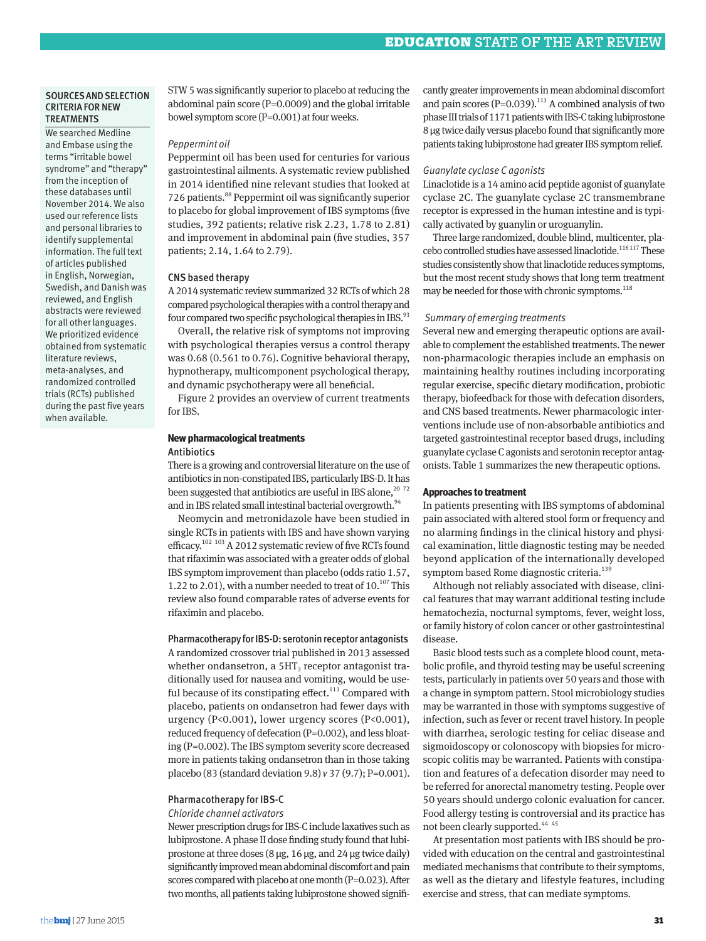## SOURCES AND SELECTION CRITERIA FOR NEW **TREATMENTS**

We searched Medline and Embase using the terms "irritable bowel syndrome" and "therapy" from the inception of these databases until November 2014. We also used our reference lists and personal libraries to identify supplemental information. The full text of articles published in English, Norwegian, Swedish, and Danish was reviewed, and English abstracts were reviewed for all other languages. We prioritized evidence obtained from systematic literature reviews, meta-analyses, and randomized controlled trials (RCTs) published during the past five years when available.

STW 5 was significantly superior to placebo at reducing the abdominal pain score (P=0.0009) and the global irritable bowel symptom score (P=0.001) at four weeks.

#### *Peppermint oil*

Peppermint oil has been used for centuries for various gastrointestinal ailments. A systematic review published in 2014 identified nine relevant studies that looked at 726 patients.88 Peppermint oil was significantly superior to placebo for global improvement of IBS symptoms (five studies, 392 patients; relative risk 2.23, 1.78 to 2.81) and improvement in abdominal pain (five studies, 357 patients; 2.14, 1.64 to 2.79).

#### CNS based therapy

A 2014 systematic review summarized 32 RCTs of which 28 compared psychological therapies with a control therapy and four compared two specific psychological therapies in IBS.<sup>93</sup>

Overall, the relative risk of symptoms not improving with psychological therapies versus a control therapy was 0.68 (0.561 to 0.76). Cognitive behavioral therapy, hypnotherapy, multicomponent psychological therapy, and dynamic psychotherapy were all beneficial.

Figure 2 provides an overview of current treatments for IBS.

## **New pharmacological treatments** Antibiotics

There is a growing and controversial literature on the use of antibiotics in non-constipated IBS, particularly IBS-D. It has been suggested that antibiotics are useful in IBS alone, $^{20}$   $^{72}$ and in IBS related small intestinal bacterial overgrowth.<sup>94</sup>

Neomycin and metronidazole have been studied in single RCTs in patients with IBS and have shown varying efficacy.<sup>102 103</sup> A 2012 systematic review of five RCTs found that rifaximin was associated with a greater odds of global IBS symptom improvement than placebo (odds ratio 1.57, 1.22 to 2.01), with a number needed to treat of  $10^{107}$  This review also found comparable rates of adverse events for rifaximin and placebo.

## Pharmacotherapy for IBS-D: serotonin receptor antagonists

A randomized crossover trial published in 2013 assessed whether ondansetron, a  $5HT_3$  receptor antagonist traditionally used for nausea and vomiting, would be useful because of its constipating effect.<sup>111</sup> Compared with placebo, patients on ondansetron had fewer days with urgency (P<0.001), lower urgency scores (P<0.001), reduced frequency of defecation (P=0.002), and less bloating (P=0.002). The IBS symptom severity score decreased more in patients taking ondansetron than in those taking placebo (83 (standard deviation 9.8) *v* 37 (9.7); P=0.001).

## Pharmacotherapy for IBS-C

#### *Chloride channel activators*

Newer prescription drugs for IBS-C include laxatives such as lubiprostone. A phase II dose finding study found that lubiprostone at three doses  $(8 \mu g, 16 \mu g,$  and  $24 \mu g$  twice daily) significantly improved mean abdominal discomfort and pain scores compared with placebo at one month (P=0.023). After two months, all patients taking lubiprostone showed significantly greater improvements in mean abdominal discomfort and pain scores ( $P=0.039$ ).<sup>113</sup> A combined analysis of two phase III trials of 1171 patients with IBS-C taking lubiprostone 8 µg twice daily versus placebo found that significantly more patients taking lubiprostone had greater IBS symptom relief.

#### *Guanylate cyclase C agonists*

Linaclotide is a 14 amino acid peptide agonist of guanylate cyclase 2C. The guanylate cyclase 2C transmembrane receptor is expressed in the human intestine and is typically activated by guanylin or uroguanylin.

Three large randomized, double blind, multicenter, placebo controlled studies have assessed linaclotide.<sup>116 117</sup> These studies consistently show that linaclotide reduces symptoms, but the most recent study shows that long term treatment may be needed for those with chronic symptoms.<sup>118</sup>

#### *Summary of emerging treatments*

Several new and emerging therapeutic options are available to complement the established treatments. The newer non-pharmacologic therapies include an emphasis on maintaining healthy routines including incorporating regular exercise, specific dietary modification, probiotic therapy, biofeedback for those with defecation disorders, and CNS based treatments. Newer pharmacologic interventions include use of non-absorbable antibiotics and targeted gastrointestinal receptor based drugs, including guanylate cyclase C agonists and serotonin receptor antagonists. Table 1 summarizes the new therapeutic options.

## **Approaches to treatment**

In patients presenting with IBS symptoms of abdominal pain associated with altered stool form or frequency and no alarming findings in the clinical history and physical examination, little diagnostic testing may be needed beyond application of the internationally developed symptom based Rome diagnostic criteria.<sup>139</sup>

Although not reliably associated with disease, clinical features that may warrant additional testing include hematochezia, nocturnal symptoms, fever, weight loss, or family history of colon cancer or other gastrointestinal disease.

Basic blood tests such as a complete blood count, metabolic profile, and thyroid testing may be useful screening tests, particularly in patients over 50 years and those with a change in symptom pattern. Stool microbiology studies may be warranted in those with symptoms suggestive of infection, such as fever or recent travel history. In people with diarrhea, serologic testing for celiac disease and sigmoidoscopy or colonoscopy with biopsies for microscopic colitis may be warranted. Patients with constipation and features of a defecation disorder may need to be referred for anorectal manometry testing. People over 50 years should undergo colonic evaluation for cancer. Food allergy testing is controversial and its practice has not been clearly supported.<sup>44 45</sup>

At presentation most patients with IBS should be provided with education on the central and gastrointestinal mediated mechanisms that contribute to their symptoms, as well as the dietary and lifestyle features, including exercise and stress, that can mediate symptoms.